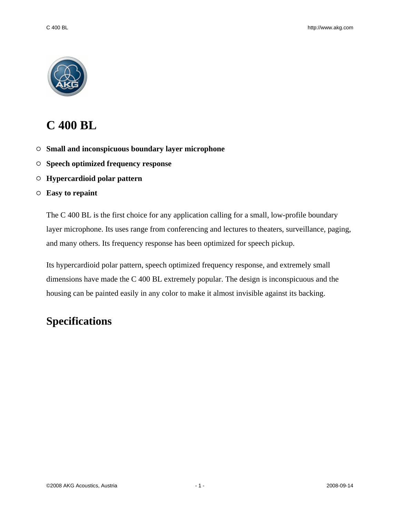

# **C 400 BL**

- **Small and inconspicuous boundary layer microphone**
- **Speech optimized frequency response**
- **Hypercardioid polar pattern**

#### **Easy to repaint**

The C 400 BL is the first choice for any application calling for a small, low-profile boundary layer microphone. Its uses range from conferencing and lectures to theaters, surveillance, paging, and many others. Its frequency response has been optimized for speech pickup.

Its hypercardioid polar pattern, speech optimized frequency response, and extremely small dimensions have made the C 400 BL extremely popular. The design is inconspicuous and the housing can be painted easily in any color to make it almost invisible against its backing.

## **Specifications**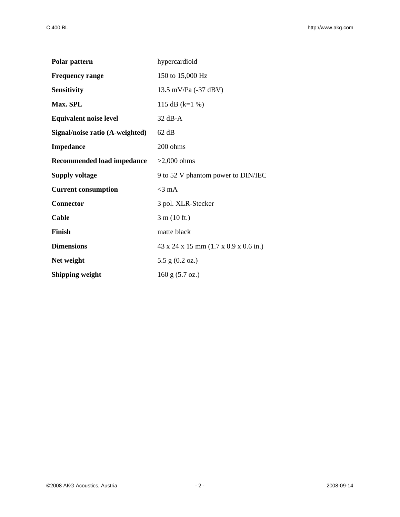| Polar pattern                   | hypercardioid                                                 |
|---------------------------------|---------------------------------------------------------------|
| <b>Frequency range</b>          | 150 to 15,000 Hz                                              |
| <b>Sensitivity</b>              | 13.5 mV/Pa (-37 dBV)                                          |
| Max. SPL                        | 115 dB (k=1 %)                                                |
| <b>Equivalent noise level</b>   | $32$ dB-A                                                     |
| Signal/noise ratio (A-weighted) | 62 dB                                                         |
| <b>Impedance</b>                | 200 ohms                                                      |
| Recommended load impedance      | $>2,000$ ohms                                                 |
| <b>Supply voltage</b>           | 9 to 52 V phantom power to DIN/IEC                            |
| <b>Current consumption</b>      | $<$ 3 mA                                                      |
| <b>Connector</b>                | 3 pol. XLR-Stecker                                            |
| Cable                           | 3 m (10 ft.)                                                  |
| Finish                          | matte black                                                   |
| <b>Dimensions</b>               | $43 \times 24 \times 15$ mm $(1.7 \times 0.9 \times 0.6$ in.) |
| Net weight                      | 5.5 g $(0.2 \text{ oz.})$                                     |
| <b>Shipping weight</b>          | $160$ g $(5.7$ oz.)                                           |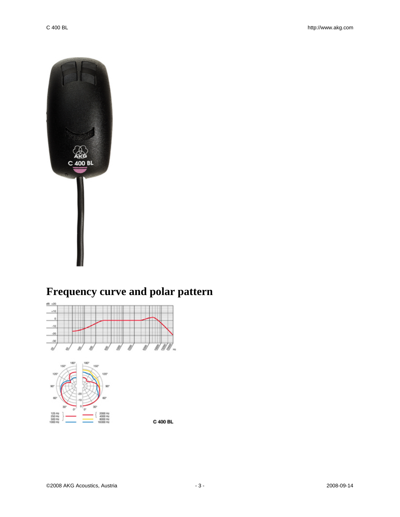

# **Frequency curve and polar pattern**